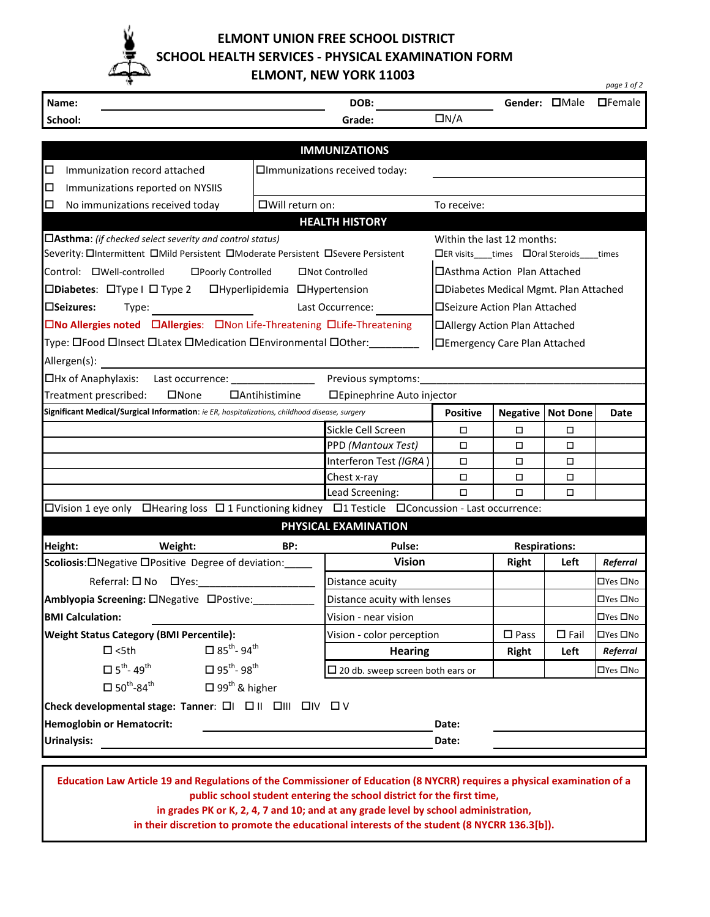

 **ELMONT UNION FREE SCHOOL DISTRICT SCHOOL HEALTH SERVICES - PHYSICAL EXAMINATION FORM**

 **ELMONT, NEW YORK 11003** 

|                                                                                                                                                                                                                                                                         |                                                                         |                                             |                                       |                               |                      | page 1 of 2          |  |
|-------------------------------------------------------------------------------------------------------------------------------------------------------------------------------------------------------------------------------------------------------------------------|-------------------------------------------------------------------------|---------------------------------------------|---------------------------------------|-------------------------------|----------------------|----------------------|--|
| Name:                                                                                                                                                                                                                                                                   |                                                                         | DOB:                                        |                                       |                               | Gender: <b>OMale</b> | $\Box$ Female        |  |
| School:                                                                                                                                                                                                                                                                 |                                                                         | Grade:                                      | $\Box N/A$                            |                               |                      |                      |  |
|                                                                                                                                                                                                                                                                         |                                                                         | <b>IMMUNIZATIONS</b>                        |                                       |                               |                      |                      |  |
|                                                                                                                                                                                                                                                                         |                                                                         |                                             |                                       |                               |                      |                      |  |
| □<br>Immunization record attached                                                                                                                                                                                                                                       |                                                                         | □Immunizations received today:              |                                       |                               |                      |                      |  |
| □<br>Immunizations reported on NYSIIS<br>□<br>No immunizations received today                                                                                                                                                                                           | □Will return on:                                                        |                                             | To receive:                           |                               |                      |                      |  |
|                                                                                                                                                                                                                                                                         |                                                                         | <b>HEALTH HISTORY</b>                       |                                       |                               |                      |                      |  |
| $\Box$ Asthma: (if checked select severity and control status)                                                                                                                                                                                                          |                                                                         | Within the last 12 months:                  |                                       |                               |                      |                      |  |
| Severity: OIntermittent OMild Persistent OModerate Persistent OSevere Persistent                                                                                                                                                                                        |                                                                         | □ER visits____times □Oral Steroids____times |                                       |                               |                      |                      |  |
| Control: OWell-controlled<br>□Poorly Controlled<br>□Not Controlled                                                                                                                                                                                                      |                                                                         |                                             | □ Asthma Action Plan Attached         |                               |                      |                      |  |
| $\square$ Diabetes: $\square$ Type I $\square$ Type 2<br>□Hyperlipidemia □Hypertension                                                                                                                                                                                  |                                                                         |                                             | □Diabetes Medical Mgmt. Plan Attached |                               |                      |                      |  |
| <b>□Seizures:</b><br>Last Occurrence:<br>Type: the contract of the contract of the contract of the contract of the contract of the contract of the contract of the contract of the contract of the contract of the contract of the contract of the contract of the cont |                                                                         |                                             | □Seizure Action Plan Attached         |                               |                      |                      |  |
|                                                                                                                                                                                                                                                                         | □No Allergies noted □Allergies: □Non Life-Threatening □Life-Threatening |                                             |                                       | □Allergy Action Plan Attached |                      |                      |  |
| Type: 囗Food 囗Insect 囗Latex 囗Medication 囗Environmental 囗Other: _________                                                                                                                                                                                                 |                                                                         |                                             | <b>IEmergency Care Plan Attached</b>  |                               |                      |                      |  |
| Allergen(s):                                                                                                                                                                                                                                                            |                                                                         |                                             |                                       |                               |                      |                      |  |
| □Hx of Anaphylaxis: Last occurrence: ________________                                                                                                                                                                                                                   |                                                                         | Previous symptoms:                          |                                       |                               |                      |                      |  |
| Treatment prescribed:<br>$\square$ None                                                                                                                                                                                                                                 | $\Box$ Antihistimine                                                    | □Epinephrine Auto injector                  |                                       |                               |                      |                      |  |
| Significant Medical/Surgical Information: ie ER, hospitalizations, childhood disease, surgery                                                                                                                                                                           |                                                                         | <b>Positive</b>                             | <b>Negative</b>                       | <b>Not Done</b>               | Date                 |                      |  |
|                                                                                                                                                                                                                                                                         |                                                                         | Sickle Cell Screen                          | □                                     | $\Box$                        | □                    |                      |  |
|                                                                                                                                                                                                                                                                         |                                                                         | PPD (Mantoux Test)                          | □                                     | $\Box$                        | $\Box$               |                      |  |
|                                                                                                                                                                                                                                                                         |                                                                         | Interferon Test (IGRA)                      | □                                     | $\Box$                        | $\Box$               |                      |  |
|                                                                                                                                                                                                                                                                         |                                                                         | Chest x-ray                                 | П<br>$\Box$                           | $\Box$<br>$\Box$              | □<br>$\Box$          |                      |  |
| $\Box$ Vision 1 eye only $\Box$ Hearing loss $\Box$ 1 Functioning kidney $\Box$ 1 Testicle $\Box$ Concussion - Last occurrence:                                                                                                                                         |                                                                         | Lead Screening:                             |                                       |                               |                      |                      |  |
|                                                                                                                                                                                                                                                                         |                                                                         | PHYSICAL EXAMINATION                        |                                       |                               |                      |                      |  |
| Height:<br>Weight:                                                                                                                                                                                                                                                      | BP:                                                                     | Pulse:                                      |                                       | <b>Respirations:</b>          |                      |                      |  |
| Scoliosis: ONegative OPositive Degree of deviation:                                                                                                                                                                                                                     |                                                                         | <b>Vision</b>                               |                                       | <b>Right</b>                  | Left                 | Referral             |  |
| $Referral: \Box$ No $\Box$ Yes:                                                                                                                                                                                                                                         |                                                                         | Distance acuity                             |                                       |                               |                      | □Yes □No             |  |
| Amblyopia Screening: ONegative OPostive:                                                                                                                                                                                                                                |                                                                         | Distance acuity with lenses                 |                                       |                               |                      | $\Box$ Yes $\Box$ No |  |
| <b>BMI Calculation:</b>                                                                                                                                                                                                                                                 |                                                                         | Vision - near vision                        |                                       |                               |                      | □Yes □No             |  |
| <b>Weight Status Category (BMI Percentile):</b>                                                                                                                                                                                                                         |                                                                         | Vision - color perception                   |                                       | $\square$ Pass                | $\square$ Fail       | □Yes □No             |  |
| $\square$ <5th                                                                                                                                                                                                                                                          | $\Box$ 85 <sup>th</sup> -94 <sup>th</sup>                               | <b>Hearing</b>                              |                                       | <b>Right</b>                  | Left                 | Referral             |  |
| $\square$ 5 <sup>th</sup> -49 <sup>th</sup>                                                                                                                                                                                                                             | $\square$ 95 <sup>th</sup> -98 <sup>th</sup>                            | $\square$ 20 db. sweep screen both ears or  |                                       |                               |                      | □Yes □No             |  |
| $\square$ 50 <sup>th</sup> -84 <sup>th</sup>                                                                                                                                                                                                                            | $\Box$ 99 <sup>th</sup> & higher                                        |                                             |                                       |                               |                      |                      |  |
| Check developmental stage: Tanner: $\Box I$ $\Box II$ $\Box III$ $\Box IV$ $\Box V$                                                                                                                                                                                     |                                                                         |                                             |                                       |                               |                      |                      |  |
| <b>Hemoglobin or Hematocrit:</b>                                                                                                                                                                                                                                        |                                                                         |                                             | Date:                                 |                               |                      |                      |  |
| <b>Urinalysis:</b>                                                                                                                                                                                                                                                      |                                                                         |                                             | Date:                                 |                               |                      |                      |  |
|                                                                                                                                                                                                                                                                         |                                                                         |                                             |                                       |                               |                      |                      |  |
| Education Law Article 19 and Regulations of the Commissioner of Education (8 NYCRR) requires a physical examination of a                                                                                                                                                |                                                                         |                                             |                                       |                               |                      |                      |  |

**public school student entering the school district for the first time,** 

**in grades PK or K, 2, 4, 7 and 10; and at any grade level by school administration,** 

**in their discretion to promote the educational interests of the student (8 NYCRR 136.3[b]).**